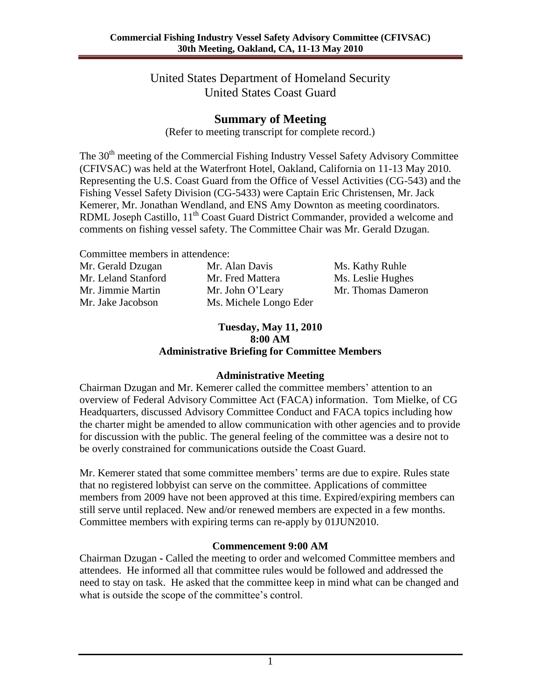United States Department of Homeland Security United States Coast Guard

## **Summary of Meeting**

(Refer to meeting transcript for complete record.)

The 30<sup>th</sup> meeting of the Commercial Fishing Industry Vessel Safety Advisory Committee (CFIVSAC) was held at the Waterfront Hotel, Oakland, California on 11-13 May 2010. Representing the U.S. Coast Guard from the Office of Vessel Activities (CG-543) and the Fishing Vessel Safety Division (CG-5433) were Captain Eric Christensen, Mr. Jack Kemerer, Mr. Jonathan Wendland, and ENS Amy Downton as meeting coordinators. RDML Joseph Castillo, 11<sup>th</sup> Coast Guard District Commander, provided a welcome and comments on fishing vessel safety. The Committee Chair was Mr. Gerald Dzugan.

Committee members in attendence:

| Mr. Gerald Dzugan   | Mr. Alan Davis         | Ms. Kathy Ruhle    |
|---------------------|------------------------|--------------------|
| Mr. Leland Stanford | Mr. Fred Mattera       | Ms. Leslie Hughes  |
| Mr. Jimmie Martin   | Mr. John O'Leary       | Mr. Thomas Dameron |
| Mr. Jake Jacobson   | Ms. Michele Longo Eder |                    |

#### **Tuesday, May 11, 2010 8:00 AM Administrative Briefing for Committee Members**

#### **Administrative Meeting**

Chairman Dzugan and Mr. Kemerer called the committee members' attention to an overview of Federal Advisory Committee Act (FACA) information. Tom Mielke, of CG Headquarters, discussed Advisory Committee Conduct and FACA topics including how the charter might be amended to allow communication with other agencies and to provide for discussion with the public. The general feeling of the committee was a desire not to be overly constrained for communications outside the Coast Guard.

Mr. Kemerer stated that some committee members' terms are due to expire. Rules state that no registered lobbyist can serve on the committee. Applications of committee members from 2009 have not been approved at this time. Expired/expiring members can still serve until replaced. New and/or renewed members are expected in a few months. Committee members with expiring terms can re-apply by 01JUN2010.

### **Commencement 9:00 AM**

Chairman Dzugan **-** Called the meeting to order and welcomed Committee members and attendees. He informed all that committee rules would be followed and addressed the need to stay on task. He asked that the committee keep in mind what can be changed and what is outside the scope of the committee's control.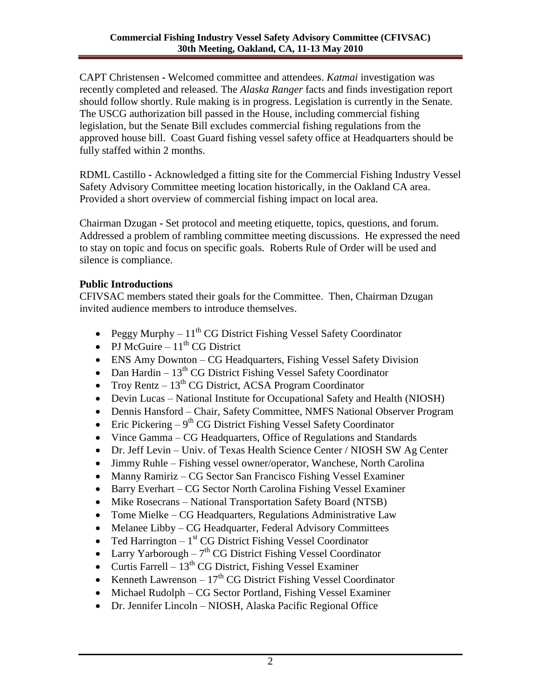CAPT Christensen **-** Welcomed committee and attendees. *Katmai* investigation was recently completed and released. The *Alaska Ranger* facts and finds investigation report should follow shortly. Rule making is in progress. Legislation is currently in the Senate. The USCG authorization bill passed in the House, including commercial fishing legislation, but the Senate Bill excludes commercial fishing regulations from the approved house bill. Coast Guard fishing vessel safety office at Headquarters should be fully staffed within 2 months.

RDML Castillo **-** Acknowledged a fitting site for the Commercial Fishing Industry Vessel Safety Advisory Committee meeting location historically, in the Oakland CA area. Provided a short overview of commercial fishing impact on local area.

Chairman Dzugan **-** Set protocol and meeting etiquette, topics, questions, and forum. Addressed a problem of rambling committee meeting discussions. He expressed the need to stay on topic and focus on specific goals. Roberts Rule of Order will be used and silence is compliance.

### **Public Introductions**

CFIVSAC members stated their goals for the Committee. Then, Chairman Dzugan invited audience members to introduce themselves.

- Peggy Murphy  $11^{th}$  CG District Fishing Vessel Safety Coordinator
- PJ McGuire  $11^{th}$  CG District
- ENS Amy Downton CG Headquarters, Fishing Vessel Safety Division
- Dan Hardin  $13^{th}$  CG District Fishing Vessel Safety Coordinator
- Troy Rentz  $13^{th}$  CG District, ACSA Program Coordinator
- Devin Lucas National Institute for Occupational Safety and Health (NIOSH)
- Dennis Hansford Chair, Safety Committee, NMFS National Observer Program
- Eric Pickering  $-9<sup>th</sup>$  CG District Fishing Vessel Safety Coordinator
- Vince Gamma CG Headquarters, Office of Regulations and Standards
- Dr. Jeff Levin Univ. of Texas Health Science Center / NIOSH SW Ag Center
- Jimmy Ruhle Fishing vessel owner/operator, Wanchese, North Carolina
- Manny Ramiriz CG Sector San Francisco Fishing Vessel Examiner
- Barry Everhart CG Sector North Carolina Fishing Vessel Examiner
- Mike Rosecrans National Transportation Safety Board (NTSB)
- Tome Mielke CG Headquarters, Regulations Administrative Law
- Melanee Libby CG Headquarter, Federal Advisory Committees
- Ted Harrington  $-1<sup>st</sup>$  CG District Fishing Vessel Coordinator
- Larry Yarborough  $7<sup>th</sup>$  CG District Fishing Vessel Coordinator
- Curtis Farrell  $13<sup>th</sup>$  CG District, Fishing Vessel Examiner
- Exempt Lawrenson  $17<sup>th</sup>$  CG District Fishing Vessel Coordinator
- Michael Rudolph CG Sector Portland, Fishing Vessel Examiner
- Dr. Jennifer Lincoln NIOSH, Alaska Pacific Regional Office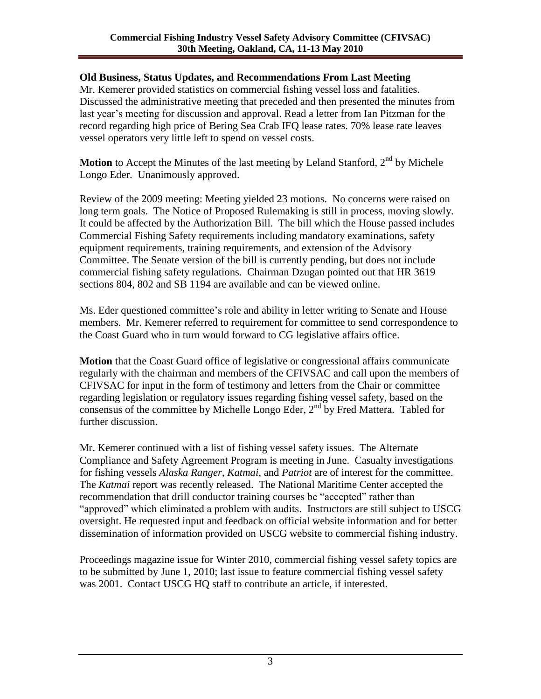### **Old Business, Status Updates, and Recommendations From Last Meeting**

Mr. Kemerer provided statistics on commercial fishing vessel loss and fatalities. Discussed the administrative meeting that preceded and then presented the minutes from last year's meeting for discussion and approval. Read a letter from Ian Pitzman for the record regarding high price of Bering Sea Crab IFQ lease rates. 70% lease rate leaves vessel operators very little left to spend on vessel costs.

**Motion** to Accept the Minutes of the last meeting by Leland Stanford, 2<sup>nd</sup> by Michele Longo Eder. Unanimously approved.

Review of the 2009 meeting: Meeting yielded 23 motions. No concerns were raised on long term goals. The Notice of Proposed Rulemaking is still in process, moving slowly. It could be affected by the Authorization Bill. The bill which the House passed includes Commercial Fishing Safety requirements including mandatory examinations, safety equipment requirements, training requirements, and extension of the Advisory Committee. The Senate version of the bill is currently pending, but does not include commercial fishing safety regulations. Chairman Dzugan pointed out that HR 3619 sections 804, 802 and SB 1194 are available and can be viewed online.

Ms. Eder questioned committee's role and ability in letter writing to Senate and House members. Mr. Kemerer referred to requirement for committee to send correspondence to the Coast Guard who in turn would forward to CG legislative affairs office.

**Motion** that the Coast Guard office of legislative or congressional affairs communicate regularly with the chairman and members of the CFIVSAC and call upon the members of CFIVSAC for input in the form of testimony and letters from the Chair or committee regarding legislation or regulatory issues regarding fishing vessel safety, based on the consensus of the committee by Michelle Longo Eder,  $2<sup>nd</sup>$  by Fred Mattera. Tabled for further discussion.

Mr. Kemerer continued with a list of fishing vessel safety issues. The Alternate Compliance and Safety Agreement Program is meeting in June. Casualty investigations for fishing vessels *Alaska Ranger*, *Katmai*, and *Patriot* are of interest for the committee. The *Katmai* report was recently released. The National Maritime Center accepted the recommendation that drill conductor training courses be "accepted" rather than "approved" which eliminated a problem with audits. Instructors are still subject to USCG oversight. He requested input and feedback on official website information and for better dissemination of information provided on USCG website to commercial fishing industry.

Proceedings magazine issue for Winter 2010, commercial fishing vessel safety topics are to be submitted by June 1, 2010; last issue to feature commercial fishing vessel safety was 2001. Contact USCG HQ staff to contribute an article, if interested.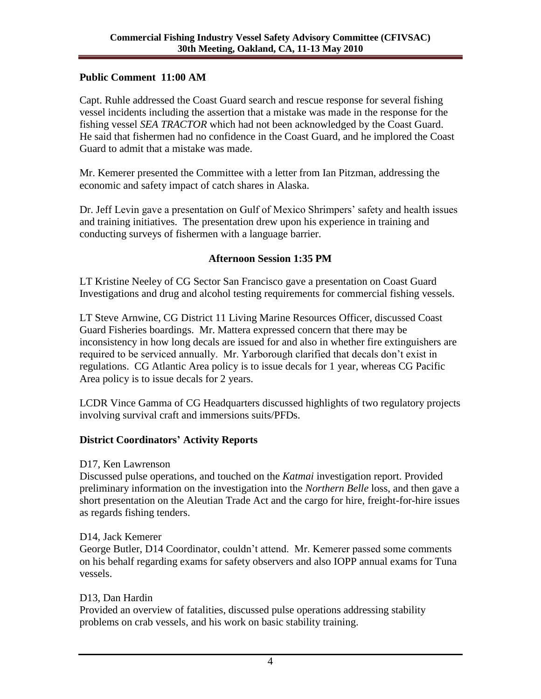### **Public Comment 11:00 AM**

Capt. Ruhle addressed the Coast Guard search and rescue response for several fishing vessel incidents including the assertion that a mistake was made in the response for the fishing vessel *SEA TRACTOR* which had not been acknowledged by the Coast Guard. He said that fishermen had no confidence in the Coast Guard, and he implored the Coast Guard to admit that a mistake was made.

Mr. Kemerer presented the Committee with a letter from Ian Pitzman, addressing the economic and safety impact of catch shares in Alaska.

Dr. Jeff Levin gave a presentation on Gulf of Mexico Shrimpers' safety and health issues and training initiatives. The presentation drew upon his experience in training and conducting surveys of fishermen with a language barrier.

### **Afternoon Session 1:35 PM**

LT Kristine Neeley of CG Sector San Francisco gave a presentation on Coast Guard Investigations and drug and alcohol testing requirements for commercial fishing vessels.

LT Steve Arnwine, CG District 11 Living Marine Resources Officer, discussed Coast Guard Fisheries boardings. Mr. Mattera expressed concern that there may be inconsistency in how long decals are issued for and also in whether fire extinguishers are required to be serviced annually. Mr. Yarborough clarified that decals don't exist in regulations. CG Atlantic Area policy is to issue decals for 1 year, whereas CG Pacific Area policy is to issue decals for 2 years.

LCDR Vince Gamma of CG Headquarters discussed highlights of two regulatory projects involving survival craft and immersions suits/PFDs.

### **District Coordinators' Activity Reports**

D17, Ken Lawrenson

Discussed pulse operations, and touched on the *Katmai* investigation report. Provided preliminary information on the investigation into the *Northern Belle* loss, and then gave a short presentation on the Aleutian Trade Act and the cargo for hire, freight-for-hire issues as regards fishing tenders.

#### D14, Jack Kemerer

George Butler, D14 Coordinator, couldn't attend. Mr. Kemerer passed some comments on his behalf regarding exams for safety observers and also IOPP annual exams for Tuna vessels.

### D13, Dan Hardin

Provided an overview of fatalities, discussed pulse operations addressing stability problems on crab vessels, and his work on basic stability training.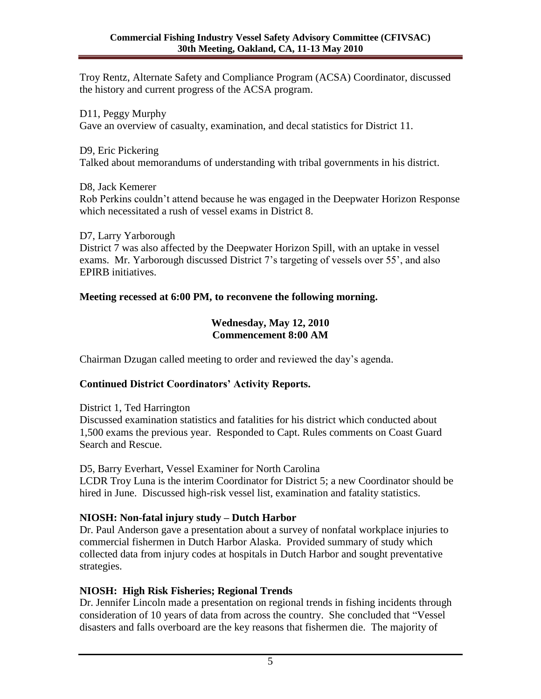Troy Rentz, Alternate Safety and Compliance Program (ACSA) Coordinator, discussed the history and current progress of the ACSA program.

D11, Peggy Murphy Gave an overview of casualty, examination, and decal statistics for District 11.

#### D9, Eric Pickering

Talked about memorandums of understanding with tribal governments in his district.

#### D8, Jack Kemerer

Rob Perkins couldn't attend because he was engaged in the Deepwater Horizon Response which necessitated a rush of vessel exams in District 8.

D7, Larry Yarborough District 7 was also affected by the Deepwater Horizon Spill, with an uptake in vessel exams. Mr. Yarborough discussed District 7's targeting of vessels over 55', and also EPIRB initiatives.

## **Meeting recessed at 6:00 PM, to reconvene the following morning.**

#### **Wednesday, May 12, 2010 Commencement 8:00 AM**

Chairman Dzugan called meeting to order and reviewed the day's agenda.

## **Continued District Coordinators' Activity Reports.**

District 1, Ted Harrington

Discussed examination statistics and fatalities for his district which conducted about 1,500 exams the previous year. Responded to Capt. Rules comments on Coast Guard Search and Rescue.

D5, Barry Everhart, Vessel Examiner for North Carolina

LCDR Troy Luna is the interim Coordinator for District 5; a new Coordinator should be hired in June. Discussed high-risk vessel list, examination and fatality statistics.

## **NIOSH: Non-fatal injury study – Dutch Harbor**

Dr. Paul Anderson gave a presentation about a survey of nonfatal workplace injuries to commercial fishermen in Dutch Harbor Alaska. Provided summary of study which collected data from injury codes at hospitals in Dutch Harbor and sought preventative strategies.

## **NIOSH: High Risk Fisheries; Regional Trends**

Dr. Jennifer Lincoln made a presentation on regional trends in fishing incidents through consideration of 10 years of data from across the country. She concluded that "Vessel disasters and falls overboard are the key reasons that fishermen die. The majority of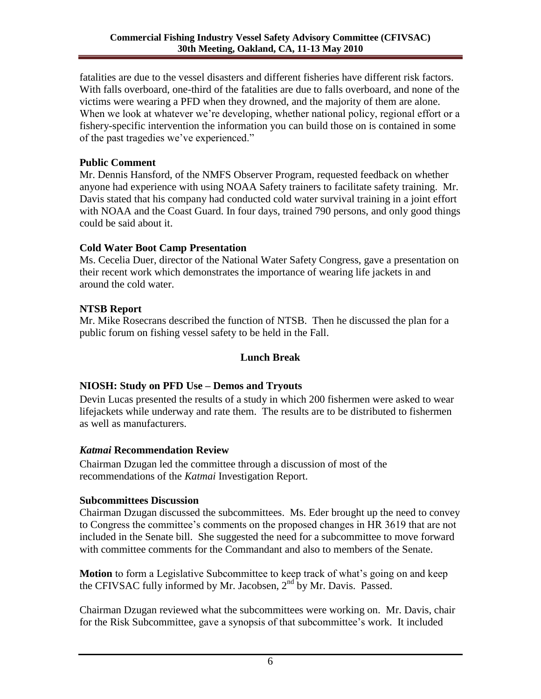fatalities are due to the vessel disasters and different fisheries have different risk factors. With falls overboard, one-third of the fatalities are due to falls overboard, and none of the victims were wearing a PFD when they drowned, and the majority of them are alone. When we look at whatever we're developing, whether national policy, regional effort or a fishery-specific intervention the information you can build those on is contained in some of the past tragedies we've experienced."

### **Public Comment**

Mr. Dennis Hansford, of the NMFS Observer Program, requested feedback on whether anyone had experience with using NOAA Safety trainers to facilitate safety training. Mr. Davis stated that his company had conducted cold water survival training in a joint effort with NOAA and the Coast Guard. In four days, trained 790 persons, and only good things could be said about it.

## **Cold Water Boot Camp Presentation**

Ms. Cecelia Duer, director of the National Water Safety Congress, gave a presentation on their recent work which demonstrates the importance of wearing life jackets in and around the cold water.

# **NTSB Report**

Mr. Mike Rosecrans described the function of NTSB. Then he discussed the plan for a public forum on fishing vessel safety to be held in the Fall.

# **Lunch Break**

# **NIOSH: Study on PFD Use – Demos and Tryouts**

Devin Lucas presented the results of a study in which 200 fishermen were asked to wear lifejackets while underway and rate them. The results are to be distributed to fishermen as well as manufacturers.

## *Katmai* **Recommendation Review**

Chairman Dzugan led the committee through a discussion of most of the recommendations of the *Katmai* Investigation Report.

## **Subcommittees Discussion**

Chairman Dzugan discussed the subcommittees. Ms. Eder brought up the need to convey to Congress the committee's comments on the proposed changes in HR 3619 that are not included in the Senate bill. She suggested the need for a subcommittee to move forward with committee comments for the Commandant and also to members of the Senate.

**Motion** to form a Legislative Subcommittee to keep track of what's going on and keep the CFIVSAC fully informed by Mr. Jacobsen, 2<sup>nd</sup> by Mr. Davis. Passed.

Chairman Dzugan reviewed what the subcommittees were working on. Mr. Davis, chair for the Risk Subcommittee, gave a synopsis of that subcommittee's work. It included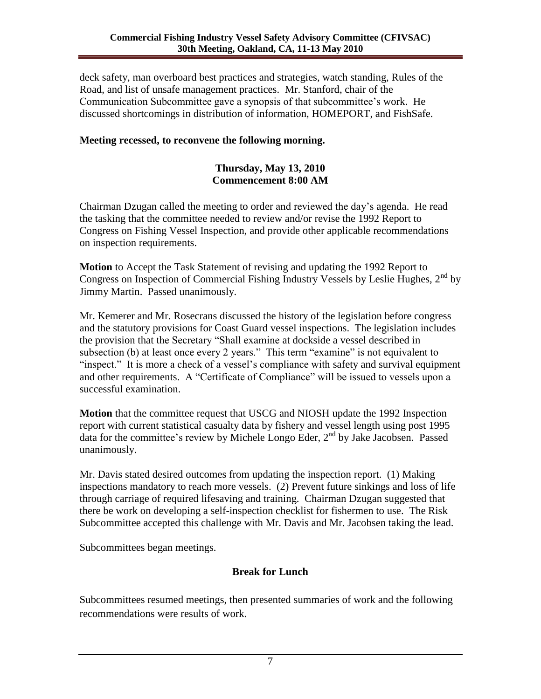deck safety, man overboard best practices and strategies, watch standing, Rules of the Road, and list of unsafe management practices. Mr. Stanford, chair of the Communication Subcommittee gave a synopsis of that subcommittee's work. He discussed shortcomings in distribution of information, HOMEPORT, and FishSafe.

#### **Meeting recessed, to reconvene the following morning.**

#### **Thursday, May 13, 2010 Commencement 8:00 AM**

Chairman Dzugan called the meeting to order and reviewed the day's agenda. He read the tasking that the committee needed to review and/or revise the 1992 Report to Congress on Fishing Vessel Inspection, and provide other applicable recommendations on inspection requirements.

**Motion** to Accept the Task Statement of revising and updating the 1992 Report to Congress on Inspection of Commercial Fishing Industry Vessels by Leslie Hughes,  $2<sup>nd</sup>$  by Jimmy Martin. Passed unanimously.

Mr. Kemerer and Mr. Rosecrans discussed the history of the legislation before congress and the statutory provisions for Coast Guard vessel inspections. The legislation includes the provision that the Secretary "Shall examine at dockside a vessel described in subsection (b) at least once every 2 years." This term "examine" is not equivalent to "inspect." It is more a check of a vessel's compliance with safety and survival equipment and other requirements. A "Certificate of Compliance" will be issued to vessels upon a successful examination.

**Motion** that the committee request that USCG and NIOSH update the 1992 Inspection report with current statistical casualty data by fishery and vessel length using post 1995 data for the committee's review by Michele Longo Eder,  $2<sup>nd</sup>$  by Jake Jacobsen. Passed unanimously.

Mr. Davis stated desired outcomes from updating the inspection report. (1) Making inspections mandatory to reach more vessels. (2) Prevent future sinkings and loss of life through carriage of required lifesaving and training. Chairman Dzugan suggested that there be work on developing a self-inspection checklist for fishermen to use. The Risk Subcommittee accepted this challenge with Mr. Davis and Mr. Jacobsen taking the lead.

Subcommittees began meetings.

### **Break for Lunch**

Subcommittees resumed meetings, then presented summaries of work and the following recommendations were results of work.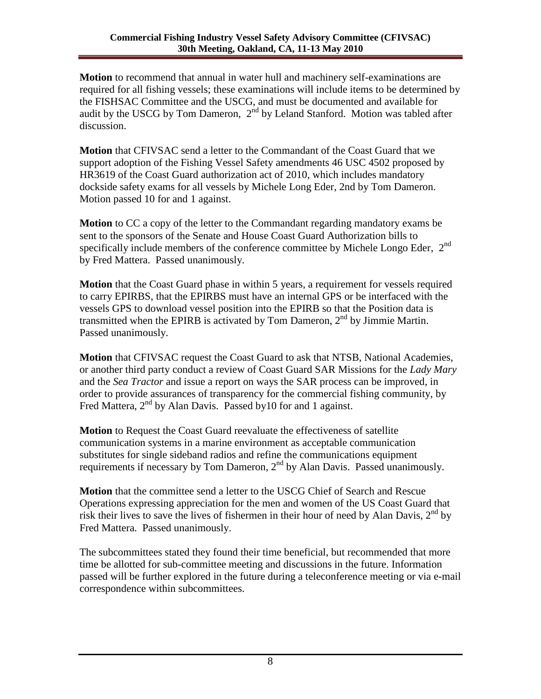**Motion** to recommend that annual in water hull and machinery self-examinations are required for all fishing vessels; these examinations will include items to be determined by the FISHSAC Committee and the USCG, and must be documented and available for audit by the USCG by Tom Dameron,  $2<sup>nd</sup>$  by Leland Stanford. Motion was tabled after discussion.

**Motion** that CFIVSAC send a letter to the Commandant of the Coast Guard that we support adoption of the Fishing Vessel Safety amendments 46 USC 4502 proposed by HR3619 of the Coast Guard authorization act of 2010, which includes mandatory dockside safety exams for all vessels by Michele Long Eder, 2nd by Tom Dameron. Motion passed 10 for and 1 against.

**Motion** to CC a copy of the letter to the Commandant regarding mandatory exams be sent to the sponsors of the Senate and House Coast Guard Authorization bills to specifically include members of the conference committee by Michele Longo Eder,  $2<sup>nd</sup>$ by Fred Mattera. Passed unanimously.

**Motion** that the Coast Guard phase in within 5 years, a requirement for vessels required to carry EPIRBS, that the EPIRBS must have an internal GPS or be interfaced with the vessels GPS to download vessel position into the EPIRB so that the Position data is transmitted when the EPIRB is activated by Tom Dameron,  $2<sup>nd</sup>$  by Jimmie Martin. Passed unanimously.

**Motion** that CFIVSAC request the Coast Guard to ask that NTSB, National Academies, or another third party conduct a review of Coast Guard SAR Missions for the *Lady Mary* and the *Sea Tractor* and issue a report on ways the SAR process can be improved, in order to provide assurances of transparency for the commercial fishing community, by Fred Mattera, 2<sup>nd</sup> by Alan Davis. Passed by10 for and 1 against.

**Motion** to Request the Coast Guard reevaluate the effectiveness of satellite communication systems in a marine environment as acceptable communication substitutes for single sideband radios and refine the communications equipment requirements if necessary by Tom Dameron,  $2<sup>nd</sup>$  by Alan Davis. Passed unanimously.

**Motion** that the committee send a letter to the USCG Chief of Search and Rescue Operations expressing appreciation for the men and women of the US Coast Guard that risk their lives to save the lives of fishermen in their hour of need by Alan Davis,  $2<sup>nd</sup>$  by Fred Mattera. Passed unanimously.

The subcommittees stated they found their time beneficial, but recommended that more time be allotted for sub-committee meeting and discussions in the future. Information passed will be further explored in the future during a teleconference meeting or via e-mail correspondence within subcommittees.